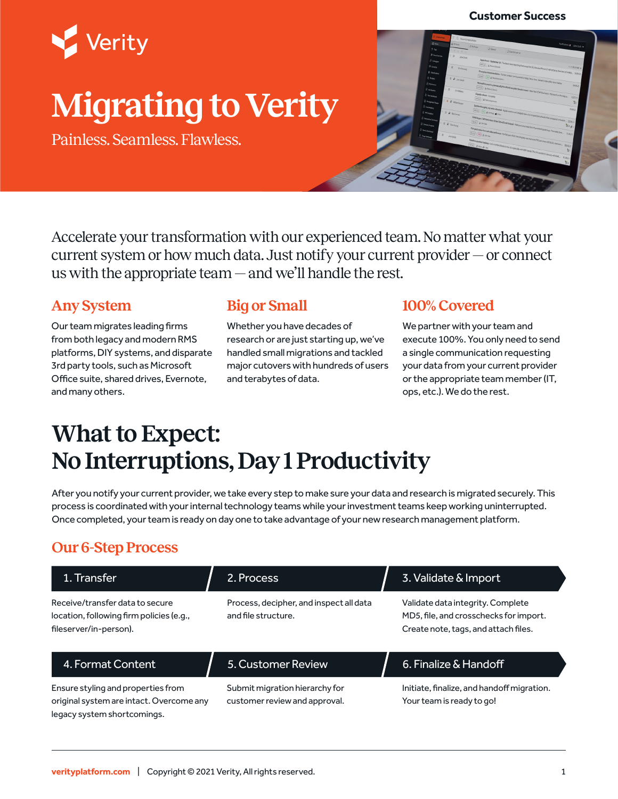#### **Customer Success**



# **Migrating to Verity**

Painless. Seamless. Flawless.



Accelerate your transformation with our experienced team. No matter what your current system or how much data. Just notify your current provider — or connect us with the appropriate team — and we'll handle the rest.

#### **Any System**

Our team migrates leading firms from both legacy and modern RMS platforms, DIY systems, and disparate 3rd party tools, such as Microsoft Office suite, shared drives, Evernote, and many others.

#### **Big or Small**

Whether you have decades of research or are just starting up, we've handled small migrations and tackled major cutovers with hundreds of users and terabytes of data.

#### **100% Covered**

We partner with your team and execute 100%. You only need to send a single communication requesting your data from your current provider or the appropriate team member (IT, ops, etc.). We do the rest.

## **What to Expect: No Interruptions, Day 1 Productivity**

After you notify your current provider, we take every step to make sure your data and research is migrated securely. This process is coordinated with your internal technology teams while your investment teams keep working uninterrupted. Once completed, your team is ready on day one to take advantage of your new research management platform.

#### **Our 6-Step Process**

| 1. Transfer                                                                                                   | 2. Process                                                      | 3. Validate & Import                                                                                                |
|---------------------------------------------------------------------------------------------------------------|-----------------------------------------------------------------|---------------------------------------------------------------------------------------------------------------------|
| Receive/transfer data to secure<br>location, following firm policies (e.g.,<br>fileserver/in-person).         | Process, decipher, and inspect all data<br>and file structure.  | Validate data integrity. Complete<br>MD5, file, and crosschecks for import.<br>Create note, tags, and attach files. |
| 4. Format Content                                                                                             | 5. Customer Review                                              | 6. Finalize & Handoff                                                                                               |
| Ensure styling and properties from<br>original system are intact. Overcome any<br>legacy system shortcomings. | Submit migration hierarchy for<br>customer review and approval. | Initiate, finalize, and handoff migration.<br>Your team is ready to go!                                             |